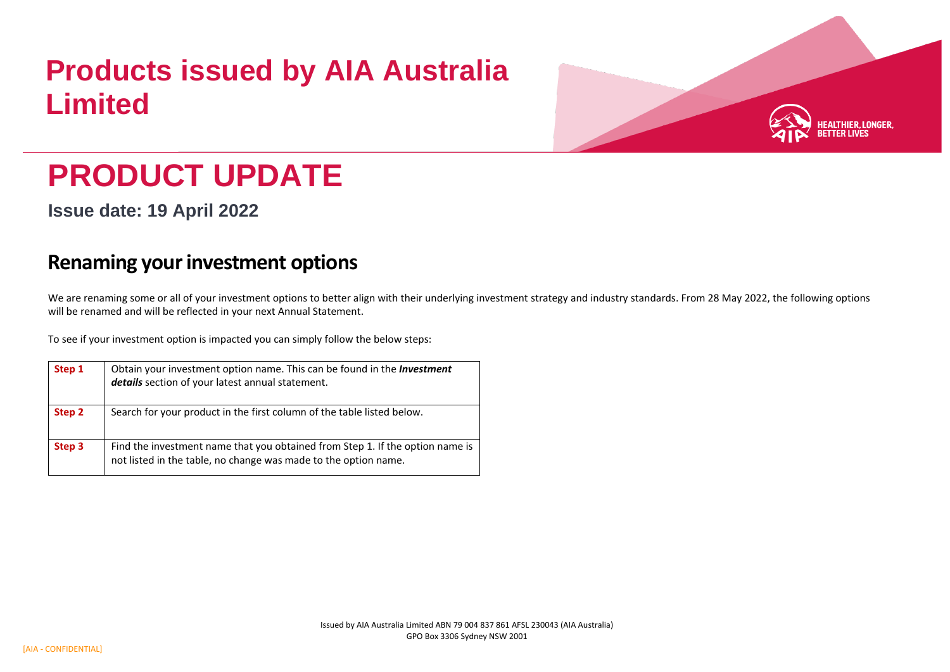## **Products issued by AIA Australia Limited**



## **PRODUCT UPDATE**

**Issue date: 19 April 2022**

## **Renaming your investment options**

We are renaming some or all of your investment options to better align with their underlying investment strategy and industry standards. From 28 May 2022, the following options will be renamed and will be reflected in your next Annual Statement.

To see if your investment option is impacted you can simply follow the below steps:

| Step 1 | Obtain your investment option name. This can be found in the <b>Investment</b><br>details section of your latest annual statement.               |
|--------|--------------------------------------------------------------------------------------------------------------------------------------------------|
| Step 2 | Search for your product in the first column of the table listed below.                                                                           |
| Step 3 | Find the investment name that you obtained from Step 1. If the option name is<br>not listed in the table, no change was made to the option name. |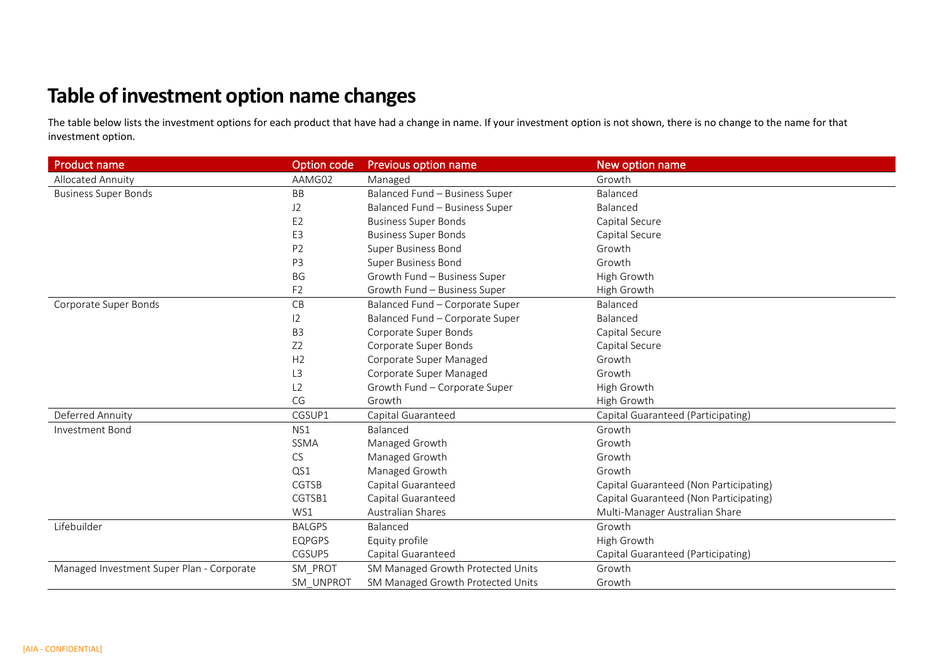## **Table of investment option name changes**

The table below lists the investment options for each product that have had a change in name. If your investment option is not shown, there is no change to the name for that investment option.

| <b>Product name</b>                       | Option code    | <b>Previous option name</b>       | New option name                        |
|-------------------------------------------|----------------|-----------------------------------|----------------------------------------|
| Allocated Annuity                         | AAMG02         | Managed                           | Growth                                 |
| <b>Business Super Bonds</b>               | <b>BB</b>      | Balanced Fund - Business Super    | Balanced                               |
|                                           | J2             | Balanced Fund - Business Super    | Balanced                               |
|                                           | E <sub>2</sub> | <b>Business Super Bonds</b>       | Capital Secure                         |
|                                           | E <sub>3</sub> | <b>Business Super Bonds</b>       | Capital Secure                         |
|                                           | P <sub>2</sub> | <b>Super Business Bond</b>        | Growth                                 |
|                                           | P <sub>3</sub> | <b>Super Business Bond</b>        | Growth                                 |
|                                           | BG             | Growth Fund - Business Super      | High Growth                            |
|                                           | F <sub>2</sub> | Growth Fund - Business Super      | High Growth                            |
| Corporate Super Bonds                     | CB             | Balanced Fund - Corporate Super   | Balanced                               |
|                                           | 12             | Balanced Fund - Corporate Super   | Balanced                               |
|                                           | B <sub>3</sub> | Corporate Super Bonds             | Capital Secure                         |
|                                           | Z <sub>2</sub> | Corporate Super Bonds             | Capital Secure                         |
|                                           | H2             | Corporate Super Managed           | Growth                                 |
|                                           | L <sub>3</sub> | Corporate Super Managed           | Growth                                 |
|                                           | L2             | Growth Fund - Corporate Super     | High Growth                            |
|                                           | CG             | Growth                            | High Growth                            |
| Deferred Annuity                          | CGSUP1         | Capital Guaranteed                | Capital Guaranteed (Participating)     |
| Investment Bond                           | NS1            | Balanced                          | Growth                                 |
|                                           | <b>SSMA</b>    | Managed Growth                    | Growth                                 |
|                                           | CS             | Managed Growth                    | Growth                                 |
|                                           | QS1            | Managed Growth                    | Growth                                 |
|                                           | <b>CGTSB</b>   | Capital Guaranteed                | Capital Guaranteed (Non Participating) |
|                                           | CGTSB1         | Capital Guaranteed                | Capital Guaranteed (Non Participating) |
|                                           | WS1            | <b>Australian Shares</b>          | Multi-Manager Australian Share         |
| Lifebuilder                               | <b>BALGPS</b>  | Balanced                          | Growth                                 |
|                                           | <b>EQPGPS</b>  | Equity profile                    | High Growth                            |
|                                           | CGSUP5         | Capital Guaranteed                | Capital Guaranteed (Participating)     |
| Managed Investment Super Plan - Corporate | SM_PROT        | SM Managed Growth Protected Units | Growth                                 |
|                                           | SM UNPROT      | SM Managed Growth Protected Units | Growth                                 |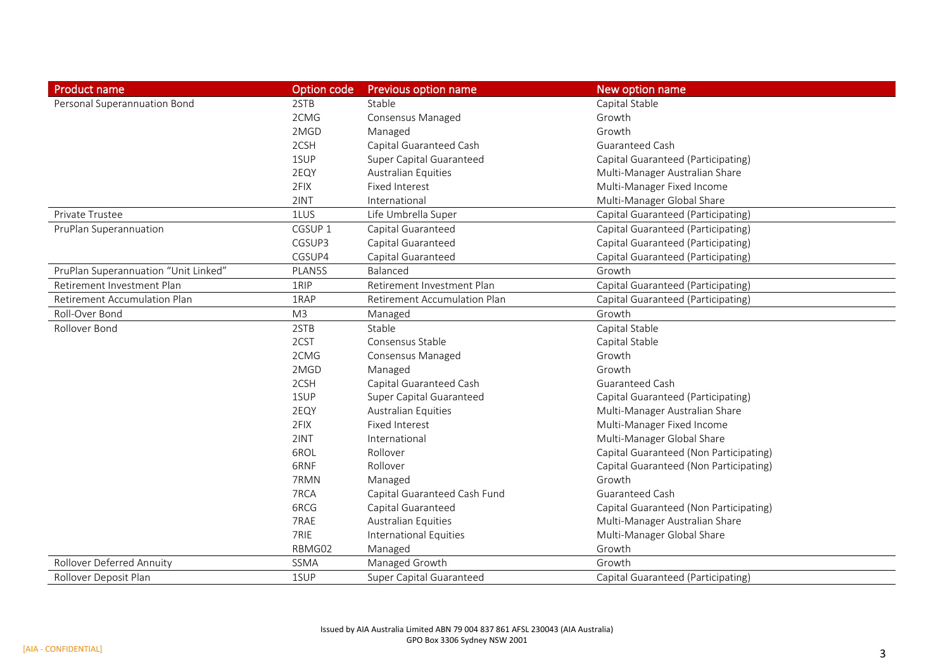| <b>Product name</b>                  | Option code        | <b>Previous option name</b>         | New option name                        |
|--------------------------------------|--------------------|-------------------------------------|----------------------------------------|
| Personal Superannuation Bond         | 2STB               | Stable                              | Capital Stable                         |
|                                      | 2CMG               | Consensus Managed                   | Growth                                 |
|                                      | 2MGD               | Managed                             | Growth                                 |
|                                      | 2CSH               | Capital Guaranteed Cash             | Guaranteed Cash                        |
|                                      | 1SUP               | Super Capital Guaranteed            | Capital Guaranteed (Participating)     |
|                                      | 2EQY               | <b>Australian Equities</b>          | Multi-Manager Australian Share         |
|                                      | 2FIX               | Fixed Interest                      | Multi-Manager Fixed Income             |
|                                      | 2INT               | International                       | Multi-Manager Global Share             |
| Private Trustee                      | 1LUS               | Life Umbrella Super                 | Capital Guaranteed (Participating)     |
| PruPlan Superannuation               | CGSUP <sub>1</sub> | Capital Guaranteed                  | Capital Guaranteed (Participating)     |
|                                      | CGSUP3             | Capital Guaranteed                  | Capital Guaranteed (Participating)     |
|                                      | CGSUP4             | Capital Guaranteed                  | Capital Guaranteed (Participating)     |
| PruPlan Superannuation "Unit Linked" | PLAN5S             | Balanced                            | Growth                                 |
| Retirement Investment Plan           | 1RIP               | Retirement Investment Plan          | Capital Guaranteed (Participating)     |
| <b>Retirement Accumulation Plan</b>  | 1RAP               | <b>Retirement Accumulation Plan</b> | Capital Guaranteed (Participating)     |
| Roll-Over Bond                       | M <sub>3</sub>     | Managed                             | Growth                                 |
| Rollover Bond                        | 2STB               | Stable                              | Capital Stable                         |
|                                      | 2CST               | Consensus Stable                    | Capital Stable                         |
|                                      | 2CMG               | Consensus Managed                   | Growth                                 |
|                                      | 2MGD               | Managed                             | Growth                                 |
|                                      | 2CSH               | Capital Guaranteed Cash             | Guaranteed Cash                        |
|                                      | 1SUP               | Super Capital Guaranteed            | Capital Guaranteed (Participating)     |
|                                      | 2EQY               | Australian Equities                 | Multi-Manager Australian Share         |
|                                      | 2FIX               | <b>Fixed Interest</b>               | Multi-Manager Fixed Income             |
|                                      | 2INT               | International                       | Multi-Manager Global Share             |
|                                      | 6ROL               | Rollover                            | Capital Guaranteed (Non Participating) |
|                                      | 6RNF               | Rollover                            | Capital Guaranteed (Non Participating) |
|                                      | 7RMN               | Managed                             | Growth                                 |
|                                      | 7RCA               | Capital Guaranteed Cash Fund        | <b>Guaranteed Cash</b>                 |
|                                      | 6RCG               | Capital Guaranteed                  | Capital Guaranteed (Non Participating) |
|                                      | 7RAE               | <b>Australian Equities</b>          | Multi-Manager Australian Share         |
|                                      | 7RIE               | <b>International Equities</b>       | Multi-Manager Global Share             |
|                                      | RBMG02             | Managed                             | Growth                                 |
| <b>Rollover Deferred Annuity</b>     | SSMA               | Managed Growth                      | Growth                                 |
| Rollover Deposit Plan                | 1SUP               | Super Capital Guaranteed            | Capital Guaranteed (Participating)     |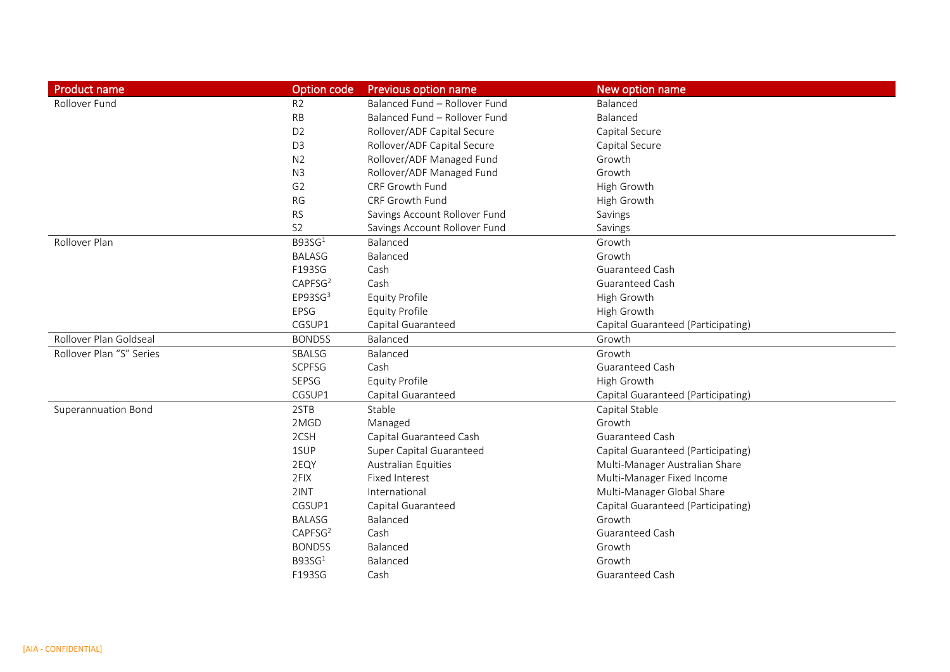| <b>Product name</b>        | Option code            | Previous option name          | New option name                    |
|----------------------------|------------------------|-------------------------------|------------------------------------|
| Rollover Fund              | R <sub>2</sub>         | Balanced Fund - Rollover Fund | Balanced                           |
|                            | RB                     | Balanced Fund - Rollover Fund | Balanced                           |
|                            | D <sub>2</sub>         | Rollover/ADF Capital Secure   | Capital Secure                     |
|                            | D <sub>3</sub>         | Rollover/ADF Capital Secure   | Capital Secure                     |
|                            | N <sub>2</sub>         | Rollover/ADF Managed Fund     | Growth                             |
|                            | N3                     | Rollover/ADF Managed Fund     | Growth                             |
|                            | G <sub>2</sub>         | CRF Growth Fund               | High Growth                        |
|                            | <b>RG</b>              | CRF Growth Fund               | High Growth                        |
|                            | <b>RS</b>              | Savings Account Rollover Fund | Savings                            |
|                            | S <sub>2</sub>         | Savings Account Rollover Fund | Savings                            |
| Rollover Plan              | B93SG <sup>1</sup>     | Balanced                      | Growth                             |
|                            | <b>BALASG</b>          | Balanced                      | Growth                             |
|                            | F193SG                 | Cash                          | Guaranteed Cash                    |
|                            | CAPFSG <sup>2</sup>    | Cash                          | Guaranteed Cash                    |
|                            | $E$ P93SG <sup>3</sup> | <b>Equity Profile</b>         | High Growth                        |
|                            | EPSG                   | <b>Equity Profile</b>         | High Growth                        |
|                            | CGSUP1                 | Capital Guaranteed            | Capital Guaranteed (Participating) |
| Rollover Plan Goldseal     | BOND5S                 | Balanced                      | Growth                             |
| Rollover Plan "S" Series   | SBALSG                 | Balanced                      | Growth                             |
|                            | <b>SCPFSG</b>          | Cash                          | Guaranteed Cash                    |
|                            | SEPSG                  | Equity Profile                | High Growth                        |
|                            | CGSUP1                 | Capital Guaranteed            | Capital Guaranteed (Participating) |
| <b>Superannuation Bond</b> | 2STB                   | Stable                        | Capital Stable                     |
|                            | 2MGD                   | Managed                       | Growth                             |
|                            | 2CSH                   | Capital Guaranteed Cash       | <b>Guaranteed Cash</b>             |
|                            | 1SUP                   | Super Capital Guaranteed      | Capital Guaranteed (Participating) |
|                            | 2EQY                   | <b>Australian Equities</b>    | Multi-Manager Australian Share     |
|                            | 2FIX                   | <b>Fixed Interest</b>         | Multi-Manager Fixed Income         |
|                            | 2INT                   | International                 | Multi-Manager Global Share         |
|                            | CGSUP1                 | Capital Guaranteed            | Capital Guaranteed (Participating) |
|                            | <b>BALASG</b>          | Balanced                      | Growth                             |
|                            | CAPFSG <sup>2</sup>    | Cash                          | Guaranteed Cash                    |
|                            | BOND5S                 | Balanced                      | Growth                             |
|                            | B93SG <sup>1</sup>     | Balanced                      | Growth                             |
|                            | F193SG                 | Cash                          | Guaranteed Cash                    |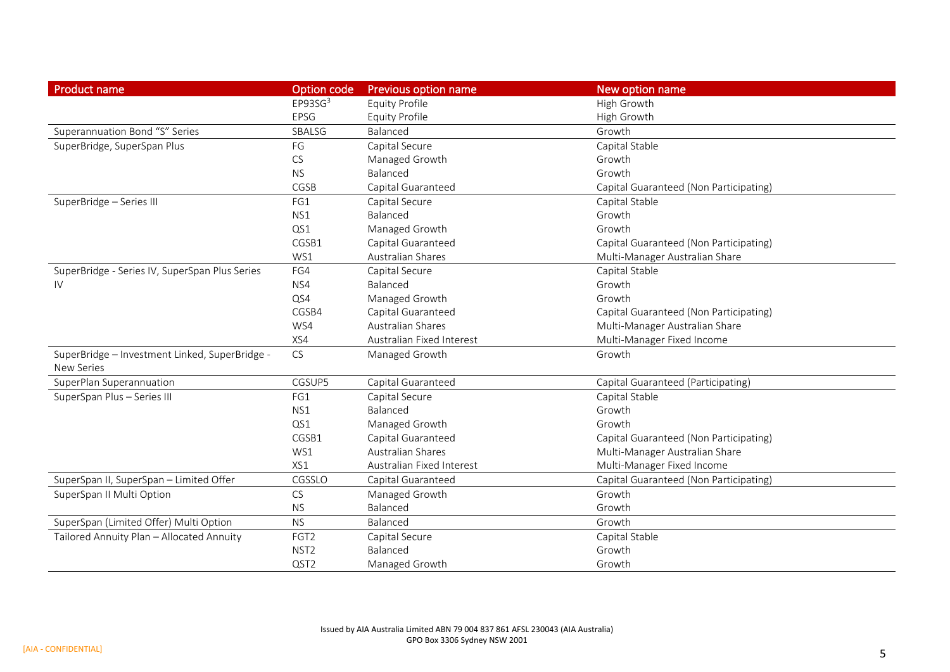| <b>Product name</b>                                                 | Option code            | <b>Previous option name</b> | New option name                        |
|---------------------------------------------------------------------|------------------------|-----------------------------|----------------------------------------|
|                                                                     | $E$ P93SG <sup>3</sup> | <b>Equity Profile</b>       | High Growth                            |
|                                                                     | <b>EPSG</b>            | <b>Equity Profile</b>       | High Growth                            |
| Superannuation Bond "S" Series                                      | SBALSG                 | Balanced                    | Growth                                 |
| SuperBridge, SuperSpan Plus                                         | FG                     | Capital Secure              | Capital Stable                         |
|                                                                     | CS                     | Managed Growth              | Growth                                 |
|                                                                     | <b>NS</b>              | Balanced                    | Growth                                 |
|                                                                     | CGSB                   | Capital Guaranteed          | Capital Guaranteed (Non Participating) |
| SuperBridge - Series III                                            | FG1                    | Capital Secure              | Capital Stable                         |
|                                                                     | NS1                    | Balanced                    | Growth                                 |
|                                                                     | QS1                    | Managed Growth              | Growth                                 |
|                                                                     | CGSB1                  | Capital Guaranteed          | Capital Guaranteed (Non Participating) |
|                                                                     | WS1                    | Australian Shares           | Multi-Manager Australian Share         |
| SuperBridge - Series IV, SuperSpan Plus Series                      | FG4                    | Capital Secure              | Capital Stable                         |
| IV                                                                  | NS4                    | Balanced                    | Growth                                 |
|                                                                     | QS4                    | Managed Growth              | Growth                                 |
|                                                                     | CGSB4                  | Capital Guaranteed          | Capital Guaranteed (Non Participating) |
|                                                                     | WS4                    | <b>Australian Shares</b>    | Multi-Manager Australian Share         |
|                                                                     | XS4                    | Australian Fixed Interest   | Multi-Manager Fixed Income             |
| SuperBridge - Investment Linked, SuperBridge -<br><b>New Series</b> | <b>CS</b>              | Managed Growth              | Growth                                 |
| SuperPlan Superannuation                                            | CGSUP5                 | Capital Guaranteed          | Capital Guaranteed (Participating)     |
| SuperSpan Plus - Series III                                         | FG1                    | Capital Secure              | Capital Stable                         |
|                                                                     | NS1                    | Balanced                    | Growth                                 |
|                                                                     | QS1                    | Managed Growth              | Growth                                 |
|                                                                     | CGSB1                  | Capital Guaranteed          | Capital Guaranteed (Non Participating) |
|                                                                     | WS1                    | <b>Australian Shares</b>    | Multi-Manager Australian Share         |
|                                                                     | XS1                    | Australian Fixed Interest   | Multi-Manager Fixed Income             |
| SuperSpan II, SuperSpan - Limited Offer                             | CGSSLO                 | Capital Guaranteed          | Capital Guaranteed (Non Participating) |
| SuperSpan II Multi Option                                           | <b>CS</b>              | Managed Growth              | Growth                                 |
|                                                                     | <b>NS</b>              | Balanced                    | Growth                                 |
| SuperSpan (Limited Offer) Multi Option                              | <b>NS</b>              | Balanced                    | Growth                                 |
| Tailored Annuity Plan - Allocated Annuity                           | FGT <sub>2</sub>       | Capital Secure              | Capital Stable                         |
|                                                                     | NST <sub>2</sub>       | Balanced                    | Growth                                 |
|                                                                     | QST <sub>2</sub>       | Managed Growth              | Growth                                 |